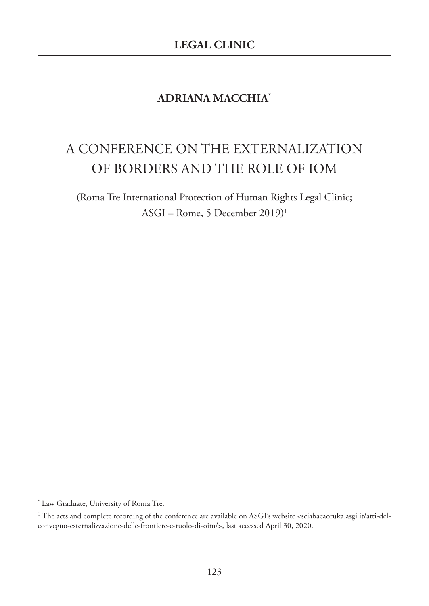## **ADRIANA MACCHIA\***

## A CONFERENCE ON THE EXTERNALIzATION OF BORDERS AND THE ROLE OF IOM

(Roma Tre International Protection of Human Rights Legal Clinic; ASGI – Rome, 5 December 2019)1

<sup>\*</sup> Law Graduate, University of Roma Tre.

<sup>&</sup>lt;sup>1</sup> The acts and complete recording of the conference are available on ASGI's website <sciabacaoruka.asgi.it/atti-delconvegno-esternalizzazione-delle-frontiere-e-ruolo-di-oim/>, last accessed April 30, 2020.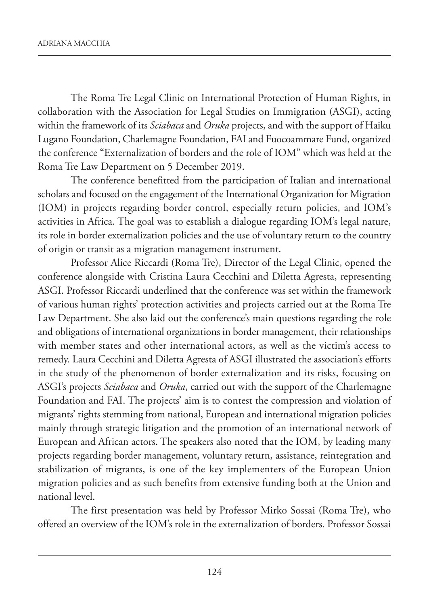The Roma Tre Legal Clinic on International Protection of Human Rights, in collaboration with the Association for Legal Studies on Immigration (ASGI), acting within the framework of its *Sciabaca* and *Oruka* projects, and with the support of Haiku Lugano Foundation, Charlemagne Foundation, FAI and Fuocoammare Fund, organized the conference "Externalization of borders and the role of IOM" which was held at the Roma Tre Law Department on 5 December 2019.

The conference benefitted from the participation of Italian and international scholars and focused on the engagement of the International Organization for Migration (IOM) in projects regarding border control, especially return policies, and IOM's activities in Africa. The goal was to establish a dialogue regarding IOM's legal nature, its role in border externalization policies and the use of voluntary return to the country of origin or transit as a migration management instrument.

Professor Alice Riccardi (Roma Tre), Director of the Legal Clinic, opened the conference alongside with Cristina Laura Cecchini and Diletta Agresta, representing ASGI. Professor Riccardi underlined that the conference was set within the framework of various human rights' protection activities and projects carried out at the Roma Tre Law Department. She also laid out the conference's main questions regarding the role and obligations of international organizations in border management, their relationships with member states and other international actors, as well as the victim's access to remedy. Laura Cecchini and Diletta Agresta of ASGI illustrated the association's efforts in the study of the phenomenon of border externalization and its risks, focusing on ASGI's projects *Sciabaca* and *Oruka*, carried out with the support of the Charlemagne Foundation and FAI. The projects' aim is to contest the compression and violation of migrants' rights stemming from national, European and international migration policies mainly through strategic litigation and the promotion of an international network of European and African actors. The speakers also noted that the IOM, by leading many projects regarding border management, voluntary return, assistance, reintegration and stabilization of migrants, is one of the key implementers of the European Union migration policies and as such benefits from extensive funding both at the Union and national level.

The first presentation was held by Professor Mirko Sossai (Roma Tre), who offered an overview of the IOM's role in the externalization of borders. Professor Sossai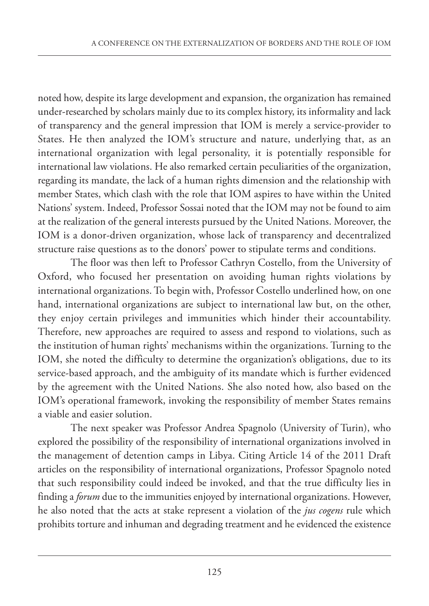noted how, despite its large development and expansion, the organization has remained under-researched by scholars mainly due to its complex history, its informality and lack of transparency and the general impression that IOM is merely a service-provider to States. He then analyzed the IOM's structure and nature, underlying that, as an international organization with legal personality, it is potentially responsible for international law violations. He also remarked certain peculiarities of the organization, regarding its mandate, the lack of a human rights dimension and the relationship with member States, which clash with the role that IOM aspires to have within the United Nations' system. Indeed, Professor Sossai noted that the IOM may not be found to aim at the realization of the general interests pursued by the United Nations. Moreover, the IOM is a donor-driven organization, whose lack of transparency and decentralized structure raise questions as to the donors' power to stipulate terms and conditions.

The floor was then left to Professor Cathryn Costello, from the University of Oxford, who focused her presentation on avoiding human rights violations by international organizations. To begin with, Professor Costello underlined how, on one hand, international organizations are subject to international law but, on the other, they enjoy certain privileges and immunities which hinder their accountability. Therefore, new approaches are required to assess and respond to violations, such as the institution of human rights' mechanisms within the organizations. Turning to the IOM, she noted the difficulty to determine the organization's obligations, due to its service-based approach, and the ambiguity of its mandate which is further evidenced by the agreement with the United Nations. She also noted how, also based on the IOM's operational framework, invoking the responsibility of member States remains a viable and easier solution.

The next speaker was Professor Andrea Spagnolo (University of Turin), who explored the possibility of the responsibility of international organizations involved in the management of detention camps in Libya. Citing Article 14 of the 2011 Draft articles on the responsibility of international organizations, Professor Spagnolo noted that such responsibility could indeed be invoked, and that the true difficulty lies in finding a *forum* due to the immunities enjoyed by international organizations. However, he also noted that the acts at stake represent a violation of the *jus cogens* rule which prohibits torture and inhuman and degrading treatment and he evidenced the existence